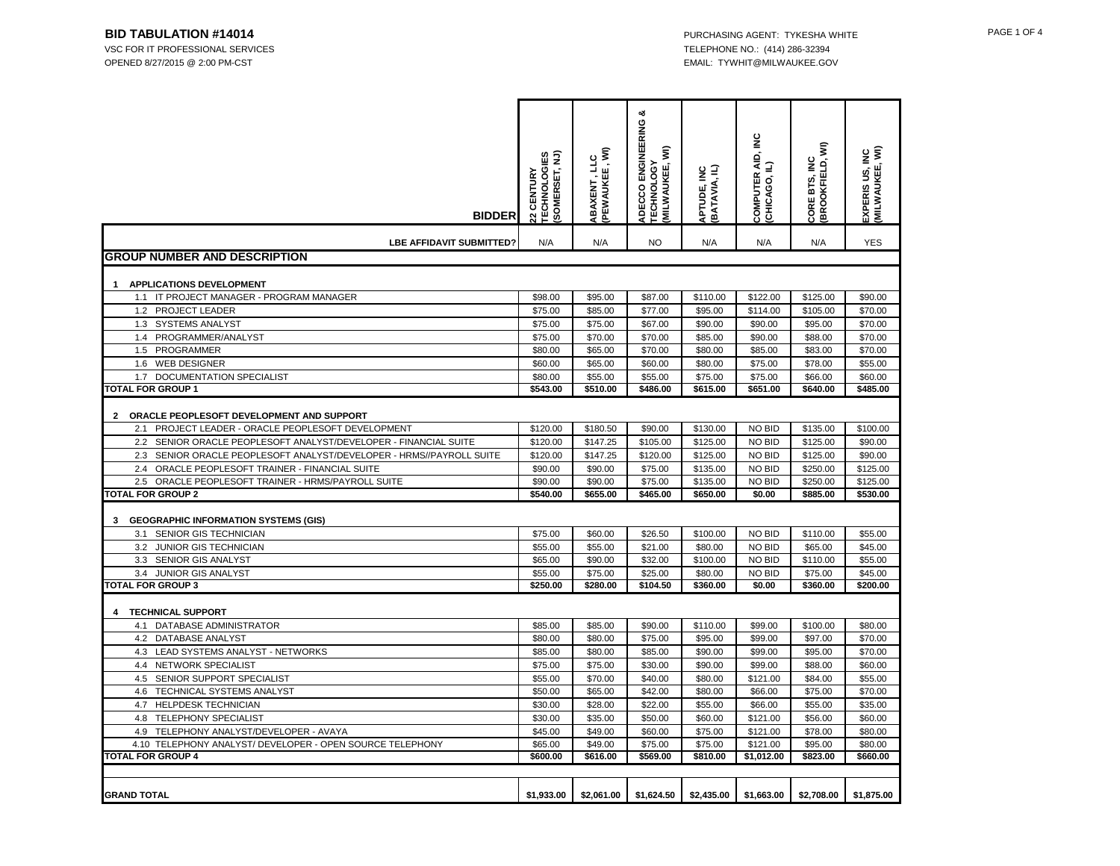OPENED 8/27/2015 @ 2:00 PM-CST EMAIL: TYWHIT@MILWAUKEE.GOV

| <b>BIDDER</b>                                                                                                                                                                                                                                                                                                                                                                                                                                                                                                                                                                       | <b>22 CENTURY<br/>TECHNOLOGIES<br/>(SOMERSET, NJ)</b>                                                          | ABAXENT , LLC<br>(PEWAUKEE , WI)                                                                               | య<br>ADECCO ENGINEERING<br>ξ<br><b>TECHNOLOGY</b><br><b>MILWAUKEE,</b>                                        | APTUDE, INC<br>BATAVIA, IL)                                                                                        | COMPUTER AID, INC<br>(CHICAGO, IL)                                                               | BROOKFIELD, WI)<br>CORE BTS, INC                                                                                   | EXPERIS US, INC<br>(MILWAUKEE, WI)                                                                             |
|-------------------------------------------------------------------------------------------------------------------------------------------------------------------------------------------------------------------------------------------------------------------------------------------------------------------------------------------------------------------------------------------------------------------------------------------------------------------------------------------------------------------------------------------------------------------------------------|----------------------------------------------------------------------------------------------------------------|----------------------------------------------------------------------------------------------------------------|---------------------------------------------------------------------------------------------------------------|--------------------------------------------------------------------------------------------------------------------|--------------------------------------------------------------------------------------------------|--------------------------------------------------------------------------------------------------------------------|----------------------------------------------------------------------------------------------------------------|
| <b>LBE AFFIDAVIT SUBMITTED?</b>                                                                                                                                                                                                                                                                                                                                                                                                                                                                                                                                                     | N/A                                                                                                            | N/A                                                                                                            | <b>NO</b>                                                                                                     | N/A                                                                                                                | N/A                                                                                              | N/A                                                                                                                | <b>YES</b>                                                                                                     |
| <b>GROUP NUMBER AND DESCRIPTION</b>                                                                                                                                                                                                                                                                                                                                                                                                                                                                                                                                                 |                                                                                                                |                                                                                                                |                                                                                                               |                                                                                                                    |                                                                                                  |                                                                                                                    |                                                                                                                |
|                                                                                                                                                                                                                                                                                                                                                                                                                                                                                                                                                                                     |                                                                                                                |                                                                                                                |                                                                                                               |                                                                                                                    |                                                                                                  |                                                                                                                    |                                                                                                                |
| APPLICATIONS DEVELOPMENT<br>1                                                                                                                                                                                                                                                                                                                                                                                                                                                                                                                                                       |                                                                                                                |                                                                                                                |                                                                                                               |                                                                                                                    |                                                                                                  |                                                                                                                    |                                                                                                                |
| 1.1 IT PROJECT MANAGER - PROGRAM MANAGER<br>1.2 PROJECT LEADER                                                                                                                                                                                                                                                                                                                                                                                                                                                                                                                      | \$98.00<br>\$75.00                                                                                             | \$95.00                                                                                                        | \$87.00                                                                                                       | \$110.00                                                                                                           | \$122.00                                                                                         | \$125.00<br>\$105.00                                                                                               | \$90.00                                                                                                        |
| 1.3<br><b>SYSTEMS ANALYST</b>                                                                                                                                                                                                                                                                                                                                                                                                                                                                                                                                                       | \$75.00                                                                                                        | \$85.00<br>\$75.00                                                                                             | \$77.00<br>\$67.00                                                                                            | \$95.00<br>\$90.00                                                                                                 | \$114.00<br>\$90.00                                                                              | \$95.00                                                                                                            | \$70.00<br>\$70.00                                                                                             |
| PROGRAMMER/ANALYST<br>1.4                                                                                                                                                                                                                                                                                                                                                                                                                                                                                                                                                           | \$75.00                                                                                                        | \$70.00                                                                                                        | \$70.00                                                                                                       | \$85.00                                                                                                            | \$90.00                                                                                          | \$88.00                                                                                                            | \$70.00                                                                                                        |
| 1.5<br>PROGRAMMER                                                                                                                                                                                                                                                                                                                                                                                                                                                                                                                                                                   | \$80.00                                                                                                        | \$65.00                                                                                                        | \$70.00                                                                                                       | \$80.00                                                                                                            | \$85.00                                                                                          | \$83.00                                                                                                            | \$70.00                                                                                                        |
| 1.6<br><b>WEB DESIGNER</b>                                                                                                                                                                                                                                                                                                                                                                                                                                                                                                                                                          | \$60.00                                                                                                        | \$65.00                                                                                                        | \$60.00                                                                                                       | \$80.00                                                                                                            | \$75.00                                                                                          | \$78.00                                                                                                            | \$55.00                                                                                                        |
| DOCUMENTATION SPECIALIST<br>1.7                                                                                                                                                                                                                                                                                                                                                                                                                                                                                                                                                     | \$80.00                                                                                                        | \$55.00                                                                                                        | \$55.00                                                                                                       | \$75.00                                                                                                            | \$75.00                                                                                          | \$66.00                                                                                                            | \$60.00                                                                                                        |
| <b>TOTAL FOR GROUP 1</b>                                                                                                                                                                                                                                                                                                                                                                                                                                                                                                                                                            | \$543.00                                                                                                       | \$510.00                                                                                                       | \$486.00                                                                                                      | \$615.00                                                                                                           | \$651.00                                                                                         | \$640.00                                                                                                           | \$485.00                                                                                                       |
| ORACLE PEOPLESOFT DEVELOPMENT AND SUPPORT<br>$\overline{2}$<br>PROJECT LEADER - ORACLE PEOPLESOFT DEVELOPMENT<br>2.1<br>2.2 SENIOR ORACLE PEOPLESOFT ANALYST/DEVELOPER - FINANCIAL SUITE<br>SENIOR ORACLE PEOPLESOFT ANALYST/DEVELOPER - HRMS//PAYROLL SUITE<br>2.3<br>2.4 ORACLE PEOPLESOFT TRAINER - FINANCIAL SUITE<br>2.5 ORACLE PEOPLESOFT TRAINER - HRMS/PAYROLL SUITE<br><b>TOTAL FOR GROUP 2</b><br><b>GEOGRAPHIC INFORMATION SYSTEMS (GIS)</b><br>3<br>3.1 SENIOR GIS TECHNICIAN<br>3.2<br>JUNIOR GIS TECHNICIAN<br>3.3<br>SENIOR GIS ANALYST<br>JUNIOR GIS ANALYST<br>3.4 | \$120.00<br>\$120.00<br>\$120.00<br>\$90.00<br>\$90.00<br>\$540.00<br>\$75.00<br>\$55.00<br>\$65.00<br>\$55.00 | \$180.50<br>\$147.25<br>\$147.25<br>\$90.00<br>\$90.00<br>\$655.00<br>\$60.00<br>\$55.00<br>\$90.00<br>\$75.00 | \$90.00<br>\$105.00<br>\$120.00<br>\$75.00<br>\$75.00<br>\$465.00<br>\$26.50<br>\$21.00<br>\$32.00<br>\$25.00 | \$130.00<br>\$125.00<br>\$125.00<br>\$135.00<br>\$135.00<br>\$650.00<br>\$100.00<br>\$80.00<br>\$100.00<br>\$80.00 | NO BID<br>NO BID<br>NO BID<br>NO BID<br>NO BID<br>\$0.00<br>NO BID<br>NO BID<br>NO BID<br>NO BID | \$135.00<br>\$125.00<br>\$125.00<br>\$250.00<br>\$250.00<br>\$885.00<br>\$110.00<br>\$65.00<br>\$110.00<br>\$75.00 | \$100.00<br>\$90.00<br>\$90.00<br>\$125.00<br>\$125.00<br>\$530.00<br>\$55.00<br>\$45.00<br>\$55.00<br>\$45.00 |
| <b>TOTAL FOR GROUP 3</b>                                                                                                                                                                                                                                                                                                                                                                                                                                                                                                                                                            | \$250.00                                                                                                       | \$280.00                                                                                                       | \$104.50                                                                                                      | \$360.00                                                                                                           | \$0.00                                                                                           | \$360.00                                                                                                           | \$200.00                                                                                                       |
| <b>TECHNICAL SUPPORT</b><br>4<br>4.1 DATABASE ADMINISTRATOR                                                                                                                                                                                                                                                                                                                                                                                                                                                                                                                         | \$85.00                                                                                                        | \$85.00                                                                                                        | \$90.00                                                                                                       | \$110.00                                                                                                           | \$99.00                                                                                          | \$100.00                                                                                                           | \$80.00                                                                                                        |
| 4.2 DATABASE ANALYST                                                                                                                                                                                                                                                                                                                                                                                                                                                                                                                                                                | \$80.00                                                                                                        | \$80.00                                                                                                        | \$75.00                                                                                                       | \$95.00                                                                                                            | \$99.00                                                                                          | \$97.00                                                                                                            | \$70.00                                                                                                        |
| 4.3 LEAD SYSTEMS ANALYST - NETWORKS                                                                                                                                                                                                                                                                                                                                                                                                                                                                                                                                                 | \$85.00                                                                                                        | \$80.00                                                                                                        | \$85.00                                                                                                       | \$90.00                                                                                                            | \$99.00                                                                                          | \$95.00                                                                                                            | \$70.00                                                                                                        |
| 4.4 NETWORK SPECIALIST                                                                                                                                                                                                                                                                                                                                                                                                                                                                                                                                                              | \$75.00                                                                                                        | \$75.00                                                                                                        | \$30.00                                                                                                       | \$90.00                                                                                                            | \$99.00                                                                                          | \$88.00                                                                                                            | \$60.00                                                                                                        |
| 4.5<br>SENIOR SUPPORT SPECIALIST                                                                                                                                                                                                                                                                                                                                                                                                                                                                                                                                                    | \$55.00                                                                                                        | \$70.00                                                                                                        | \$40.00                                                                                                       | \$80.00                                                                                                            | \$121.00                                                                                         | \$84.00                                                                                                            | \$55.00                                                                                                        |
| 4.6 TECHNICAL SYSTEMS ANALYST                                                                                                                                                                                                                                                                                                                                                                                                                                                                                                                                                       | \$50.00                                                                                                        | \$65.00                                                                                                        | \$42.00                                                                                                       | \$80.00                                                                                                            | \$66.00                                                                                          | \$75.00                                                                                                            | \$70.00                                                                                                        |
| 4.7 HELPDESK TECHNICIAN                                                                                                                                                                                                                                                                                                                                                                                                                                                                                                                                                             | \$30.00                                                                                                        | \$28.00                                                                                                        | \$22.00                                                                                                       | \$55.00                                                                                                            | \$66.00                                                                                          | \$55.00                                                                                                            | \$35.00                                                                                                        |
| TELEPHONY SPECIALIST<br>4.8                                                                                                                                                                                                                                                                                                                                                                                                                                                                                                                                                         | \$30.00                                                                                                        | \$35.00                                                                                                        | \$50.00                                                                                                       | \$60.00                                                                                                            | \$121.00                                                                                         | \$56.00                                                                                                            | \$60.00                                                                                                        |
| 4.9<br>TELEPHONY ANALYST/DEVELOPER - AVAYA<br>4.10 TELEPHONY ANALYST/ DEVELOPER - OPEN SOURCE TELEPHONY                                                                                                                                                                                                                                                                                                                                                                                                                                                                             | \$45.00                                                                                                        | \$49.00                                                                                                        | \$60.00                                                                                                       | \$75.00                                                                                                            | \$121.00                                                                                         | \$78.00                                                                                                            | \$80.00                                                                                                        |
| <b>TOTAL FOR GROUP 4</b>                                                                                                                                                                                                                                                                                                                                                                                                                                                                                                                                                            | \$65.00<br>\$600.00                                                                                            | \$49.00<br>\$616.00                                                                                            | \$75.00<br>\$569.00                                                                                           | \$75.00<br>\$810.00                                                                                                | \$121.00<br>\$1,012.00                                                                           | \$95.00<br>\$823.00                                                                                                | \$80.00<br>\$660.00                                                                                            |
|                                                                                                                                                                                                                                                                                                                                                                                                                                                                                                                                                                                     |                                                                                                                |                                                                                                                |                                                                                                               |                                                                                                                    |                                                                                                  |                                                                                                                    |                                                                                                                |
| <b>GRAND TOTAL</b>                                                                                                                                                                                                                                                                                                                                                                                                                                                                                                                                                                  | \$1,933.00                                                                                                     | \$2,061.00                                                                                                     | \$1,624.50                                                                                                    | \$2,435.00                                                                                                         | \$1,663.00                                                                                       | \$2,708.00                                                                                                         | \$1,875.00                                                                                                     |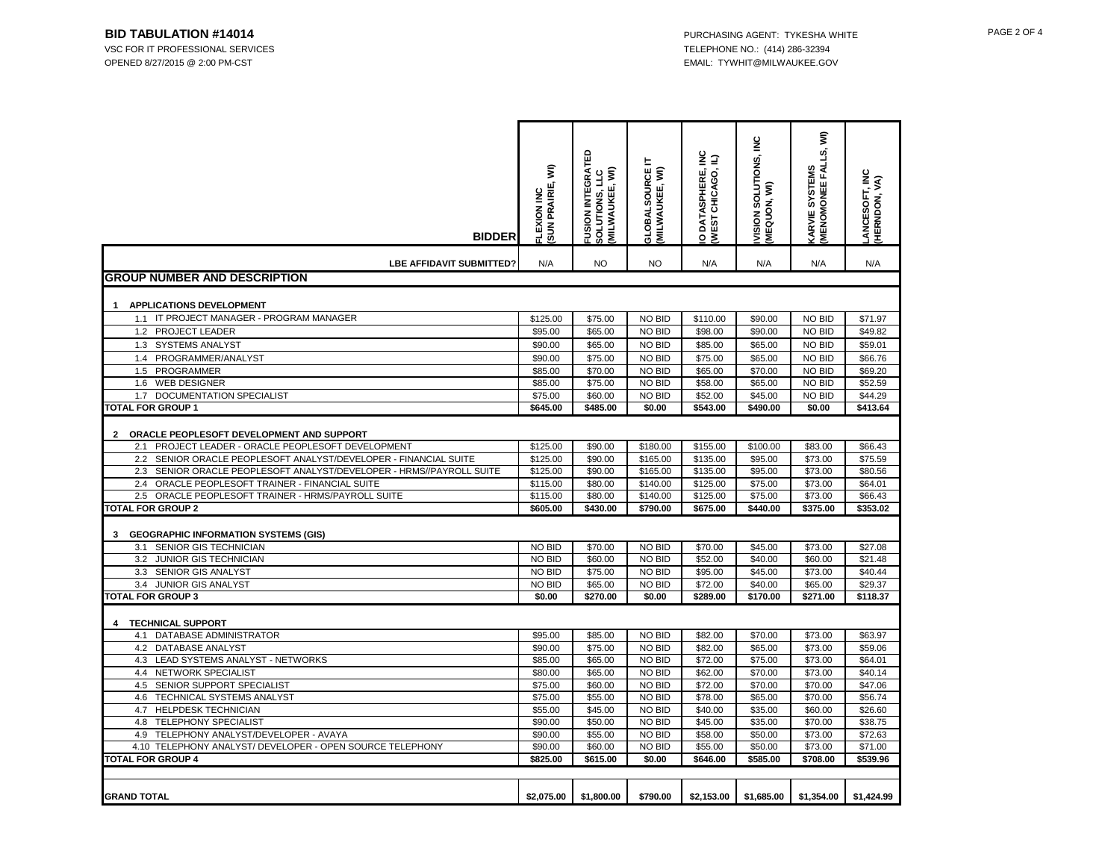VSC FOR IT PROFESSIONAL SERVICES TELEPHONE NO.: (414) 286-32394 OPENED 8/27/2015 @ 2:00 PM-CST EMAIL: TYWHIT@MILWAUKEE.GOV

| <b>BIDDER</b>                                                           | SUN PRAIRIE, WI)<br><b>LEXION INC</b> | ⊞<br>USION INTEGRAT<br>MILWAUKEE, WI)<br>SOLUTIONS, LLC | ᄇ<br>GLOBALSOURCE<br>(MILWAUKEE, WI) | O DATASPHERE, INC<br>(WEST CHICAGO, IL) | <b>VISION SOLUTIONS, INC.<br/>(MEQUON, WI)</b> | <b>⁄ARVIE SYSTEMS<br/>MENOMONEE FALLS, WI)</b> | LANCESOFT, INC<br>(HERNDON, VA) |
|-------------------------------------------------------------------------|---------------------------------------|---------------------------------------------------------|--------------------------------------|-----------------------------------------|------------------------------------------------|------------------------------------------------|---------------------------------|
| <b>LBE AFFIDAVIT SUBMITTED?</b>                                         | N/A                                   | <b>NO</b>                                               | <b>NO</b>                            | N/A                                     | N/A                                            | N/A                                            | N/A                             |
| <b>IGROUP NUMBER AND DESCRIPTION</b>                                    |                                       |                                                         |                                      |                                         |                                                |                                                |                                 |
|                                                                         |                                       |                                                         |                                      |                                         |                                                |                                                |                                 |
| <b>APPLICATIONS DEVELOPMENT</b><br>$\mathbf{1}$                         |                                       |                                                         |                                      |                                         |                                                |                                                |                                 |
| IT PROJECT MANAGER - PROGRAM MANAGER<br>1.1                             | \$125.00                              | \$75.00                                                 | NO BID                               | \$110.00                                | \$90.00                                        | <b>NO BID</b>                                  | \$71.97                         |
| 1.2 PROJECT LEADER                                                      | \$95.00                               | \$65.00                                                 | NO BID                               | \$98.00                                 | \$90.00                                        | <b>NO BID</b>                                  | \$49.82                         |
| 1.3 SYSTEMS ANALYST                                                     | \$90.00                               | \$65.00                                                 | NO BID                               | \$85.00                                 | \$65.00                                        | NO BID                                         | \$59.01                         |
| 1.4<br>PROGRAMMER/ANALYST                                               | \$90.00                               | \$75.00                                                 | <b>NO BID</b>                        | \$75.00                                 | \$65.00                                        | <b>NO BID</b>                                  | \$66.76                         |
| 1.5<br>PROGRAMMER                                                       | \$85.00                               | \$70.00                                                 | NO BID                               | \$65.00                                 | \$70.00                                        | NO BID                                         | \$69.20                         |
| 1.6<br><b>WEB DESIGNER</b>                                              | \$85.00                               | \$75.00                                                 | NO BID                               | \$58.00                                 | \$65.00                                        | NO BID                                         | \$52.59                         |
| DOCUMENTATION SPECIALIST<br>1.7                                         | \$75.00                               | \$60.00                                                 | NO BID                               | \$52.00                                 | \$45.00                                        | NO BID                                         | \$44.29                         |
| <b>TOTAL FOR GROUP 1</b>                                                | \$645.00                              | \$485.00                                                | \$0.00                               | \$543.00                                | \$490.00                                       | \$0.00                                         | \$413.64                        |
|                                                                         |                                       |                                                         |                                      |                                         |                                                |                                                |                                 |
| ORACLE PEOPLESOFT DEVELOPMENT AND SUPPORT<br>$\overline{2}$             |                                       |                                                         |                                      |                                         |                                                |                                                |                                 |
| PROJECT LEADER - ORACLE PEOPLESOFT DEVELOPMENT<br>2.1                   | \$125.00                              | \$90.00                                                 | \$180.00                             | \$155.00                                | \$100.00                                       | \$83.00                                        | \$66.43                         |
| 2.2 SENIOR ORACLE PEOPLESOFT ANALYST/DEVELOPER - FINANCIAL SUITE        | \$125.00                              | \$90.00                                                 | \$165.00                             | \$135.00                                | \$95.00                                        | \$73.00                                        | \$75.59                         |
| SENIOR ORACLE PEOPLESOFT ANALYST/DEVELOPER - HRMS//PAYROLL SUITE<br>2.3 | \$125.00                              | \$90.00                                                 | \$165.00                             | \$135.00                                | \$95.00                                        | \$73.00                                        | \$80.56                         |
| ORACLE PEOPLESOFT TRAINER - FINANCIAL SUITE<br>2.4                      | \$115.00                              | \$80.00                                                 | \$140.00                             | \$125.00                                | \$75.00                                        | \$73.00                                        | \$64.01                         |
| 2.5 ORACLE PEOPLESOFT TRAINER - HRMS/PAYROLL SUITE                      | \$115.00                              | \$80.00                                                 | \$140.00                             | \$125.00                                | \$75.00                                        | \$73.00                                        | \$66.43                         |
| <b>TOTAL FOR GROUP 2</b>                                                | \$605.00                              | \$430.00                                                | \$790.00                             | \$675.00                                | \$440.00                                       | \$375.00                                       | \$353.02                        |
|                                                                         |                                       |                                                         |                                      |                                         |                                                |                                                |                                 |
| <b>GEOGRAPHIC INFORMATION SYSTEMS (GIS)</b><br>3                        |                                       |                                                         |                                      |                                         |                                                |                                                |                                 |
| SENIOR GIS TECHNICIAN<br>3.1                                            | NO BID                                | \$70.00                                                 | NO BID                               | \$70.00                                 | \$45.00                                        | \$73.00                                        | \$27.08                         |
| 3.2 JUNIOR GIS TECHNICIAN                                               | NO BID                                | \$60.00                                                 | NO BID                               | \$52.00                                 | \$40.00                                        | \$60.00                                        | \$21.48                         |
| 3.3 <sup>°</sup><br>SENIOR GIS ANALYST                                  | NO BID                                | \$75.00                                                 | NO BID                               | \$95.00                                 | \$45.00                                        | \$73.00                                        | \$40.44                         |
| JUNIOR GIS ANALYST<br>3.4<br><b>TOTAL FOR GROUP 3</b>                   | NO BID                                | \$65.00<br>\$270.00                                     | NO BID                               | \$72.00<br>\$289.00                     | \$40.00                                        | \$65.00<br>\$271.00                            | \$29.37                         |
|                                                                         | \$0.00                                |                                                         | \$0.00                               |                                         | \$170.00                                       |                                                | \$118.37                        |
|                                                                         |                                       |                                                         |                                      |                                         |                                                |                                                |                                 |
| <b>TECHNICAL SUPPORT</b><br>DATABASE ADMINISTRATOR<br>4.1               | \$95.00                               | \$85.00                                                 | NO BID                               | \$82.00                                 | \$70.00                                        | \$73.00                                        | \$63.97                         |
| 4.2 DATABASE ANALYST                                                    | \$90.00                               | \$75.00                                                 | <b>NO BID</b>                        | \$82.00                                 | \$65.00                                        | \$73.00                                        | \$59.06                         |
| LEAD SYSTEMS ANALYST - NETWORKS<br>4.3                                  | \$85.00                               | \$65.00                                                 | NO BID                               | \$72.00                                 | \$75.00                                        | \$73.00                                        | \$64.01                         |
| NETWORK SPECIALIST<br>4.4                                               | \$80.00                               | \$65.00                                                 | NO BID                               | \$62.00                                 | \$70.00                                        | \$73.00                                        | \$40.14                         |
| 4.5 SENIOR SUPPORT SPECIALIST                                           | \$75.00                               | \$60.00                                                 | NO BID                               | \$72.00                                 | \$70.00                                        | \$70.00                                        | \$47.06                         |
| 4.6 TECHNICAL SYSTEMS ANALYST                                           | \$75.00                               | \$55.00                                                 | NO BID                               | \$78.00                                 | \$65.00                                        | \$70.00                                        | \$56.74                         |
| 4.7<br>HELPDESK TECHNICIAN                                              | \$55.00                               | \$45.00                                                 | NO BID                               | \$40.00                                 | \$35.00                                        | \$60.00                                        | \$26.60                         |
| 4.8<br><b>TELEPHONY SPECIALIST</b>                                      | \$90.00                               | \$50.00                                                 | NO BID                               | \$45.00                                 | \$35.00                                        | \$70.00                                        | \$38.75                         |
| TELEPHONY ANALYST/DEVELOPER - AVAYA<br>4.9                              | \$90.00                               | \$55.00                                                 | NO BID                               | \$58.00                                 | \$50.00                                        | \$73.00                                        | \$72.63                         |
| 4.10 TELEPHONY ANALYST/ DEVELOPER - OPEN SOURCE TELEPHONY               | \$90.00                               | \$60.00                                                 | NO BID                               | \$55.00                                 | \$50.00                                        | \$73.00                                        | \$71.00                         |
| <b>TOTAL FOR GROUP 4</b>                                                | \$825.00                              | \$615.00                                                | \$0.00                               | \$646.00                                | \$585.00                                       | \$708.00                                       | \$539.96                        |
|                                                                         |                                       |                                                         |                                      |                                         |                                                |                                                |                                 |
|                                                                         |                                       |                                                         |                                      |                                         |                                                |                                                |                                 |
| <b>GRAND TOTAL</b>                                                      | \$2.075.00                            | \$1,800.00                                              | \$790.00                             | \$2.153.00                              | \$1.685.00                                     | \$1,354.00                                     | \$1,424.99                      |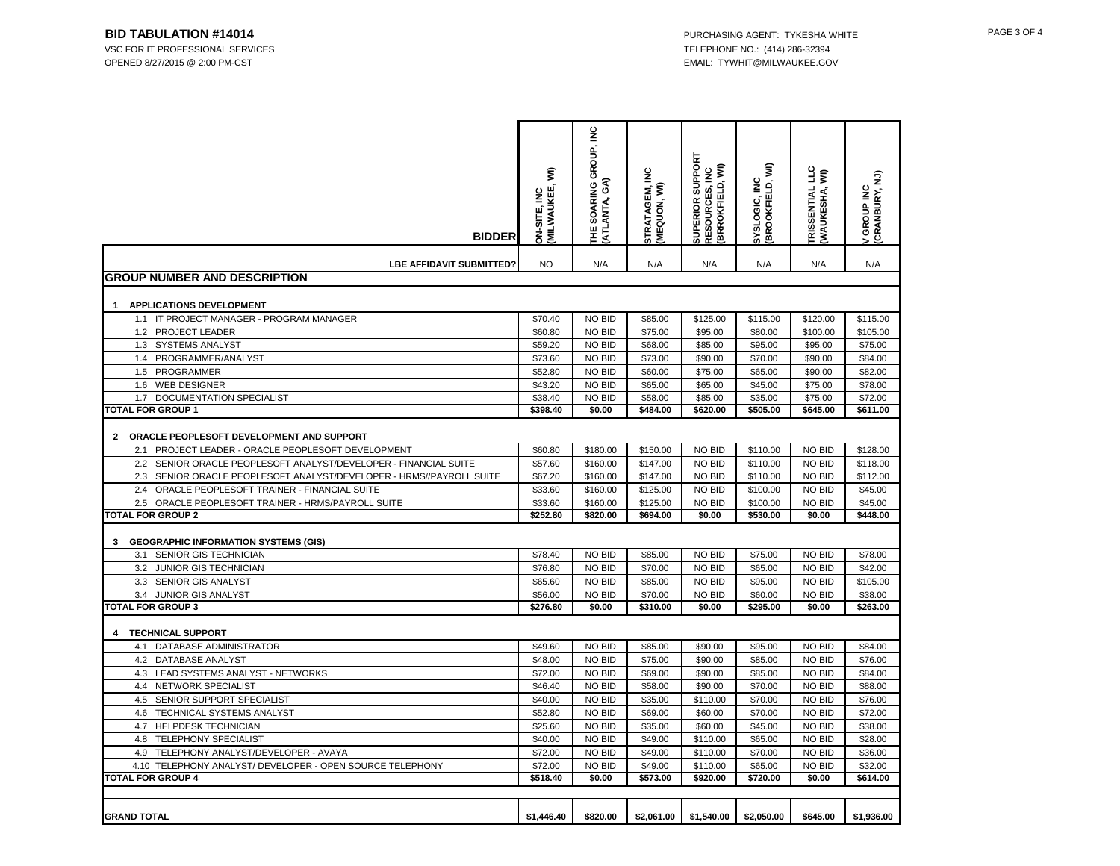VSC FOR IT PROFESSIONAL SERVICES TELEPHONE NO.: (414) 286-32394 OPENED 8/27/2015 @ 2:00 PM-CST EMAIL: TYWHIT@MILWAUKEE.GOV

| <b>BIDDER</b>                                                                         | MILWAUKEE, WI)<br><b>DN-SITE, INC</b> | THE SOARING GROUP, INC<br>(ATLANTA, GA) | STRATAGEM, INC<br>(MEQUON, WI) | SUPERIOR SUPPORT<br><b>RESOURCES, INC<br/>(BRROKFIELD, WI)</b> | SYSLOGIC, INC<br>(BROOKFIELD, WI) | IKISSENTIAL LLC<br>(WAUKESHA, WI) | CRANBURY, NJ)<br>GROUP INC |
|---------------------------------------------------------------------------------------|---------------------------------------|-----------------------------------------|--------------------------------|----------------------------------------------------------------|-----------------------------------|-----------------------------------|----------------------------|
| <b>LBE AFFIDAVIT SUBMITTED?</b>                                                       | <b>NO</b>                             | N/A                                     | N/A                            | N/A                                                            | N/A                               | N/A                               | N/A                        |
| <b>GROUP NUMBER AND DESCRIPTION</b>                                                   |                                       |                                         |                                |                                                                |                                   |                                   |                            |
|                                                                                       |                                       |                                         |                                |                                                                |                                   |                                   |                            |
| APPLICATIONS DEVELOPMENT                                                              |                                       |                                         |                                |                                                                |                                   |                                   |                            |
| 1.1 IT PROJECT MANAGER - PROGRAM MANAGER                                              | \$70.40                               | NO BID                                  | \$85.00                        | \$125.00                                                       | \$115.00                          | \$120.00                          | \$115.00                   |
| 1.2 PROJECT LEADER                                                                    | \$60.80                               | NO BID                                  | \$75.00                        | \$95.00                                                        | \$80.00                           | \$100.00                          | \$105.00                   |
| 1.3 SYSTEMS ANALYST<br>1.4                                                            | \$59.20                               | NO BID                                  | \$68.00                        | \$85.00                                                        | \$95.00                           | \$95.00                           | \$75.00                    |
| PROGRAMMER/ANALYST<br>1.5<br>PROGRAMMER                                               | \$73.60<br>\$52.80                    | NO BID<br>NO BID                        | \$73.00                        | \$90.00                                                        | \$70.00                           | \$90.00                           | \$84.00<br>\$82.00         |
| 1.6<br><b>WEB DESIGNER</b>                                                            | \$43.20                               | NO BID                                  | \$60.00<br>\$65.00             | \$75.00<br>\$65.00                                             | \$65.00<br>\$45.00                | \$90.00<br>\$75.00                | \$78.00                    |
| DOCUMENTATION SPECIALIST<br>1.7                                                       | \$38.40                               | NO BID                                  | \$58.00                        | \$85.00                                                        | \$35.00                           | \$75.00                           | \$72.00                    |
| <b>TOTAL FOR GROUP 1</b>                                                              | \$398.40                              | \$0.00                                  | \$484.00                       | \$620.00                                                       | \$505.00                          | \$645.00                          | \$611.00                   |
|                                                                                       |                                       |                                         |                                |                                                                |                                   |                                   |                            |
| ORACLE PEOPLESOFT DEVELOPMENT AND SUPPORT<br>2                                        |                                       |                                         |                                |                                                                |                                   |                                   |                            |
| PROJECT LEADER - ORACLE PEOPLESOFT DEVELOPMENT<br>2.1                                 | \$60.80                               | \$180.00                                | \$150.00                       | NO BID                                                         | \$110.00                          | NO BID                            | \$128.00                   |
| 2.2<br>SENIOR ORACLE PEOPLESOFT ANALYST/DEVELOPER - FINANCIAL SUITE                   | \$57.60                               | \$160.00                                | \$147.00                       | <b>NO BID</b>                                                  | \$110.00                          | <b>NO BID</b>                     | \$118.00                   |
| SENIOR ORACLE PEOPLESOFT ANALYST/DEVELOPER - HRMS//PAYROLL SUITE<br>2.3               | \$67.20                               | \$160.00                                | \$147.00                       | NO BID                                                         | \$110.00                          | NO BID                            | \$112.00                   |
| ORACLE PEOPLESOFT TRAINER - FINANCIAL SUITE<br>2.4                                    | \$33.60                               | \$160.00                                | \$125.00                       | NO BID                                                         | \$100.00                          | NO BID                            | \$45.00                    |
| 2.5 ORACLE PEOPLESOFT TRAINER - HRMS/PAYROLL SUITE                                    | \$33.60                               | \$160.00                                | \$125.00                       | NO BID                                                         | \$100.00                          | <b>NO BID</b>                     | \$45.00                    |
| <b>TOTAL FOR GROUP 2</b>                                                              | \$252.80                              | \$820.00                                | \$694.00                       | \$0.00                                                         | \$530.00                          | \$0.00                            | \$448.00                   |
|                                                                                       |                                       |                                         |                                |                                                                |                                   |                                   |                            |
| <b>GEOGRAPHIC INFORMATION SYSTEMS (GIS)</b><br>3                                      |                                       |                                         |                                |                                                                |                                   |                                   |                            |
| 3.1<br><b>SENIOR GIS TECHNICIAN</b>                                                   | \$78.40                               | NO BID                                  | \$85.00                        | NO BID                                                         | \$75.00                           | NO BID                            | \$78.00                    |
| JUNIOR GIS TECHNICIAN<br>3.2                                                          | \$76.80                               | NO BID                                  | \$70.00                        | NO BID                                                         | \$65.00                           | NO BID                            | \$42.00                    |
| 3.3 SENIOR GIS ANALYST                                                                | \$65.60                               | NO BID                                  | \$85.00                        | <b>NO BID</b>                                                  | \$95.00                           | <b>NO BID</b>                     | \$105.00                   |
| JUNIOR GIS ANALYST<br>3.4                                                             | \$56.00                               | NO BID                                  | \$70.00                        | NO BID                                                         | \$60.00                           | NO BID                            | \$38.00                    |
| <b>TOTAL FOR GROUP 3</b>                                                              | \$276.80                              | \$0.00                                  | \$310.00                       | \$0.00                                                         | \$295.00                          | \$0.00                            | \$263.00                   |
|                                                                                       |                                       |                                         |                                |                                                                |                                   |                                   |                            |
| <b>TECHNICAL SUPPORT</b><br>4                                                         |                                       |                                         |                                |                                                                |                                   |                                   |                            |
| DATABASE ADMINISTRATOR<br>4.1                                                         | \$49.60                               | NO BID                                  | \$85.00                        | \$90.00                                                        | \$95.00                           | NO BID                            | \$84.00                    |
| 4.2 DATABASE ANALYST                                                                  | \$48.00                               | NO BID                                  | \$75.00                        | \$90.00                                                        | \$85.00                           | NO BID                            | \$76.00                    |
| 4.3 LEAD SYSTEMS ANALYST - NETWORKS                                                   | \$72.00                               | NO BID                                  | \$69.00                        | \$90.00                                                        | \$85.00                           | NO BID                            | \$84.00                    |
| 4.4 NETWORK SPECIALIST                                                                | \$46.40                               | NO BID                                  | \$58.00                        | \$90.00                                                        | \$70.00                           | NO BID                            | \$88.00                    |
| 4.5<br>SENIOR SUPPORT SPECIALIST                                                      | \$40.00                               | NO BID                                  | \$35.00                        | \$110.00                                                       | \$70.00                           | NO BID                            | \$76.00                    |
| TECHNICAL SYSTEMS ANALYST<br>4.6                                                      | \$52.80                               | NO BID                                  | \$69.00                        | \$60.00                                                        | \$70.00                           | NO BID                            | \$72.00                    |
| 4.7 HELPDESK TECHNICIAN                                                               | \$25.60                               | NO BID                                  | \$35.00                        | \$60.00                                                        | \$45.00                           | NO BID                            | \$38.00                    |
| 4.8<br>TELEPHONY SPECIALIST                                                           | \$40.00                               | NO BID                                  | \$49.00                        | \$110.00                                                       | \$65.00                           | NO BID                            | \$28.00                    |
| 4.9 TELEPHONY ANALYST/DEVELOPER - AVAYA                                               | \$72.00                               | NO BID                                  | \$49.00                        | \$110.00                                                       | \$70.00                           | NO BID                            | \$36.00                    |
| 4.10 TELEPHONY ANALYST/ DEVELOPER - OPEN SOURCE TELEPHONY<br><b>TOTAL FOR GROUP 4</b> | \$72.00<br>\$518.40                   | NO BID<br>\$0.00                        | \$49.00<br>\$573.00            | \$110.00<br>\$920.00                                           | \$65.00<br>\$720.00               | NO BID<br>\$0.00                  | \$32.00<br>\$614.00        |
|                                                                                       |                                       |                                         |                                |                                                                |                                   |                                   |                            |
|                                                                                       |                                       |                                         |                                |                                                                |                                   |                                   |                            |
| <b>GRAND TOTAL</b>                                                                    | \$1,446.40                            | \$820.00                                | \$2,061.00                     | \$1,540.00                                                     | \$2,050.00                        | \$645.00                          | \$1,936.00                 |